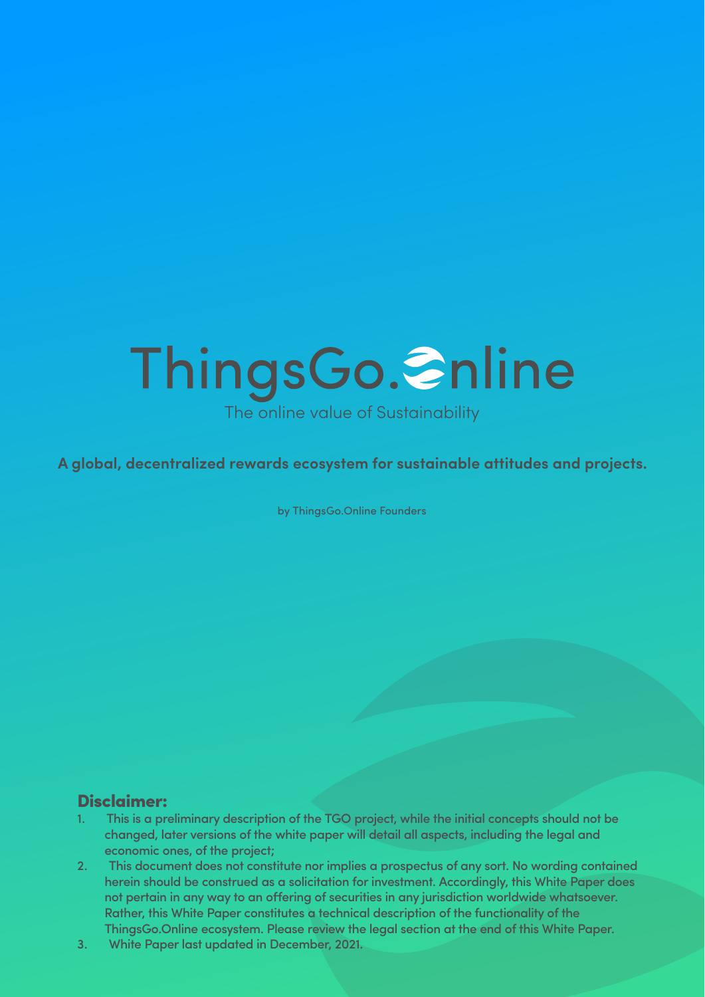# <span id="page-0-0"></span>ThingsGo. Snline The online value of Sustainability

**A global, decentralized rewards ecosystem for sustainable attitudes and projects.**

by ThingsGo.Online Founders

#### Disclaimer:

- 1. This is a preliminary description of the TGO project, while the initial concepts should not be changed, later versions of the white paper will detail all aspects, including the legal and economic ones, of the project;
- 2. This document does not constitute nor implies a prospectus of any sort. No wording contained herein should be construed as a solicitation for investment. Accordingly, this White Paper does not pertain in any way to an offering of securities in any jurisdiction worldwide whatsoever. Rather, this White Paper constitutes a technical description of the functionality of the ThingsGo.Online ecosystem. Please review the legal section at the end of this White Paper.
- 3. White Paper last updated in December, 2021.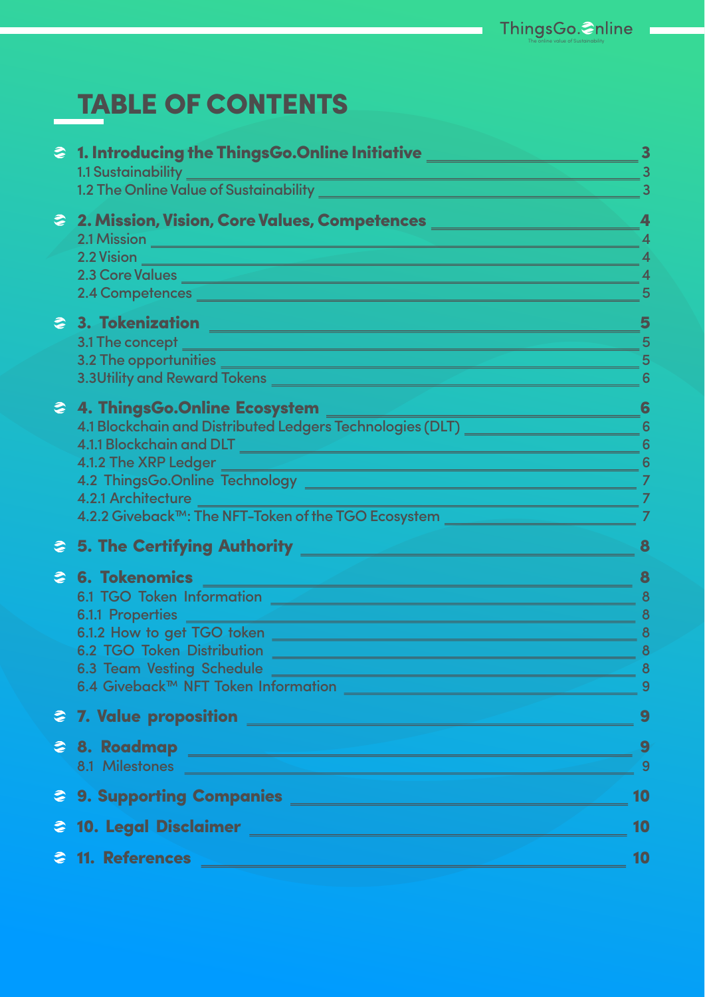# TABLE OF CONTENTS

| ● 1. Introducing the ThingsGo.Online Initiative _______________                                                                                                                                                                      |                |
|--------------------------------------------------------------------------------------------------------------------------------------------------------------------------------------------------------------------------------------|----------------|
| 1.1 Sustainability<br><u> 1989 - Johann Barn, mars eta idazlear (h. 1989).</u>                                                                                                                                                       |                |
|                                                                                                                                                                                                                                      |                |
| 2 2. Mission, Vision, Core Values, Competences _________________________________                                                                                                                                                     |                |
|                                                                                                                                                                                                                                      | 4              |
|                                                                                                                                                                                                                                      |                |
| 2.3 Core Values                                                                                                                                                                                                                      | 4              |
|                                                                                                                                                                                                                                      | 5              |
| 2 3. Tokenization 2008 - 2009 - 2009 - 2010 - 2010 - 2010 - 2010 - 2010 - 2010 - 2010 - 2010 - 2010 - 2010 - 20                                                                                                                      | 5              |
|                                                                                                                                                                                                                                      | 5              |
| 3.2 The opportunities <b>which are also assumed to the contract of the contract of the contract of the contract of the contract of the contract of the contract of the contract of the contract of the contract of the contract </b> | 5              |
| 3.3Utility and Reward Tokens <b>And Advisory Contact Contact Contact Contact Contact Contact Contact Contact Contact Contact Contact Contact Contact Contact Contact Contact Contact Contact Contact Contact Contact Contact Con</b> |                |
| 2 4. ThingsGo.Online Ecosystem<br><u> 1989 - Johann Barn, mars ar breist fan de Fryske kommunenter (</u>                                                                                                                             | 6              |
| 4.1 Blockchain and Distributed Ledgers Technologies (DLT) National Concentration 6                                                                                                                                                   |                |
|                                                                                                                                                                                                                                      | 6              |
| 4.1.2 The XRP Ledger<br><u> 1990 - Johann Stein, marwolaethau a bhann an t-Amhainn an t-Amhainn an t-Amhainn an t-Amhainn an t-Amhainn an</u>                                                                                        | 6              |
|                                                                                                                                                                                                                                      | 7              |
| 4.2.1 Architecture<br><u> 1989 - Johann Stoff, Amerikaansk politiker (</u>                                                                                                                                                           | 7              |
| 4.2.2 Giveback <sup>™</sup> : The NFT-Token of the TGO Ecosystem <u>________________________</u>                                                                                                                                     | 7              |
| 2 5. The Certifying Authority <u>Authority Authority Authority Authority</u>                                                                                                                                                         |                |
| S 6. Tokenomics                                                                                                                                                                                                                      | 8              |
|                                                                                                                                                                                                                                      | 8              |
| 6.1.1 Properties ______<br><u> 1989 - Johann Stein, marwolaethau (b. 1989)</u>                                                                                                                                                       | 8              |
|                                                                                                                                                                                                                                      | 8              |
| 6.2 TGO Token Distribution                                                                                                                                                                                                           | 8              |
| 6.3 Team Vesting Schedule                                                                                                                                                                                                            | 8              |
|                                                                                                                                                                                                                                      | 9              |
|                                                                                                                                                                                                                                      | 9              |
|                                                                                                                                                                                                                                      | 9              |
| 28. Roadmap 2008 - 2009 - 2009 - 2009 - 2010 - 2010 - 2010 - 2010 - 2010 - 2010 - 2010 - 2010 - 2010 - 2010 - 2010 - 2010 - 2010 - 2010 - 2010 - 2010 - 2010 - 2010 - 2010 - 2010 - 2010 - 2010 - 2010 - 2010 - 2010 - 2010 -        | $\overline{9}$ |
|                                                                                                                                                                                                                                      |                |
| 2 9. Supporting Companies 2008 2009 2010 2021 2022 2023 2024                                                                                                                                                                         | 10             |
|                                                                                                                                                                                                                                      | 10             |
| <b>&amp; 11. References</b>                                                                                                                                                                                                          | 10             |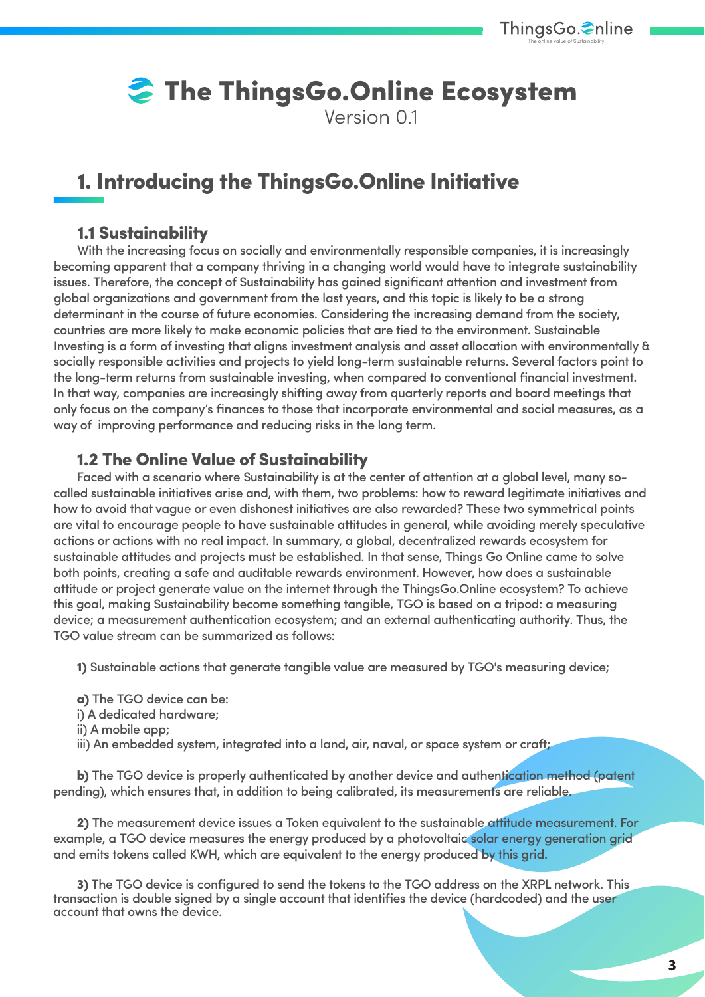# **The ThingsGo.Online Ecosystem**

Version 01

# 1. Introducing the ThingsGo.Online Initiative

#### 1.1 Sustainability

With the increasing focus on socially and environmentally responsible companies, it is increasingly becoming apparent that a company thriving in a changing world would have to integrate sustainability issues. Therefore, the concept of Sustainability has gained significant attention and investment from global organizations and government from the last years, and this topic is likely to be a strong determinant in the course of future economies. Considering the increasing demand from the society, countries are more likely to make economic policies that are tied to the environment. Sustainable Investing is a form of investing that aligns investment analysis and asset allocation with environmentally & socially responsible activities and projects to yield long-term sustainable returns. Several factors point to the long-term returns from sustainable investing, when compared to conventional financial investment. In that way, companies are increasingly shifting away from quarterly reports and board meetings that only focus on the company's finances to those that incorporate environmental and social measures, as a way of improving performance and reducing risks in the long term.

#### 1.2 The Online Value of Sustainability

Faced with a scenario where Sustainability is at the center of attention at a global level, many socalled sustainable initiatives arise and, with them, two problems: how to reward legitimate initiatives and how to avoid that vague or even dishonest initiatives are also rewarded? These two symmetrical points are vital to encourage people to have sustainable attitudes in general, while avoiding merely speculative actions or actions with no real impact. In summary, a global, decentralized rewards ecosystem for sustainable attitudes and projects must be established. In that sense, Things Go Online came to solve both points, creating a safe and auditable rewards environment. However, how does a sustainable attitude or project generate value on the internet through the ThingsGo.Online ecosystem? To achieve this goal, making Sustainability become something tangible, TGO is based on a tripod: a measuring device; a measurement authentication ecosystem; and an external authenticating authority. Thus, the TGO value stream can be summarized as follows:

1) Sustainable actions that generate tangible value are measured by TGO's measuring device;

- a) The TGO device can be:
- i) A dedicated hardware;
- ii) A mobile app;
- iii) An embedded system, integrated into a land, air, naval, or space system or craft;

b) The TGO device is properly authenticated by another device and authentication method (patent pending), which ensures that, in addition to being calibrated, its measurements are reliable.

2) The measurement device issues a Token equivalent to the sustainable attitude measurement. For example, a TGO device measures the energy produced by a photovoltaic solar energy generation grid and emits tokens called KWH, which are equivalent to the energy produced by this grid.

3) The TGO device is configured to send the tokens to the TGO address on the XRPL network. This transaction is double signed by a single account that identifies the device (hardcoded) and the user account that owns the device.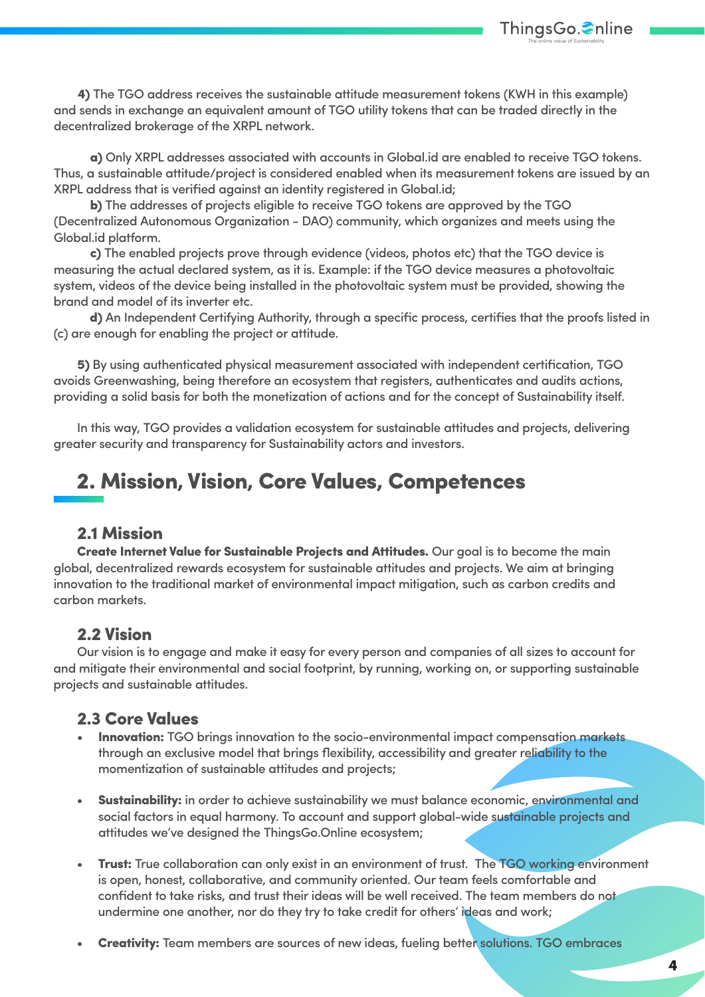

4) The TGO address receives the sustainable attitude measurement tokens (KWH in this example) and sends in exchange an equivalent amount of TGO utility tokens that can be traded directly in the decentralized brokerage of the XRPL network.

 a) Only XRPL addresses associated with accounts in Global.id are enabled to receive TGO tokens. Thus, a sustainable attitude/project is considered enabled when its measurement tokens are issued by an XRPL address that is verified against an identity registered in Global.id;

 b) The addresses of projects eligible to receive TGO tokens are approved by the TGO (Decentralized Autonomous Organization - DAO) community, which organizes and meets using the Global.id platform.

 c) The enabled projects prove through evidence (videos, photos etc) that the TGO device is measuring the actual declared system, as it is. Example: if the TGO device measures a photovoltaic system, videos of the device being installed in the photovoltaic system must be provided, showing the brand and model of its inverter etc.

 d) An Independent Certifying Authority, through a specific process, certifies that the proofs listed in (c) are enough for enabling the project or attitude.

5) By using authenticated physical measurement associated with independent certification, TGO avoids Greenwashing, being therefore an ecosystem that registers, authenticates and audits actions, providing a solid basis for both the monetization of actions and for the concept of Sustainability itself.

In this way, TGO provides a validation ecosystem for sustainable attitudes and projects, delivering greater security and transparency for Sustainability actors and investors.

## 2. Mission, Vision, Core Values, Competences

#### 2.1 Mission

Create Internet Value for Sustainable Projects and Attitudes. Our goal is to become the main global, decentralized rewards ecosystem for sustainable attitudes and projects. We aim at bringing innovation to the traditional market of environmental impact mitigation, such as carbon credits and carbon markets.

#### 2.2 Vision

Our vision is to engage and make it easy for every person and companies of all sizes to account for and mitigate their environmental and social footprint, by running, working on, or supporting sustainable projects and sustainable attitudes.

#### 2.3 Core Values

- **Innovation:** TGO brings innovation to the socio-environmental impact compensation markets through an exclusive model that brings flexibility, accessibility and greater reliability to the momentization of sustainable attitudes and projects;
- Sustainability: in order to achieve sustainability we must balance economic, environmental and social factors in equal harmony. To account and support global-wide sustainable projects and attitudes we've designed the ThingsGo.Online ecosystem;
- Trust: True collaboration can only exist in an environment of trust. The TGO working environment is open, honest, collaborative, and community oriented. Our team feels comfortable and confident to take risks, and trust their ideas will be well received. The team members do not undermine one another, nor do they try to take credit for others' ideas and work;
- Creativity: Team members are sources of new ideas, fueling better solutions. TGO embraces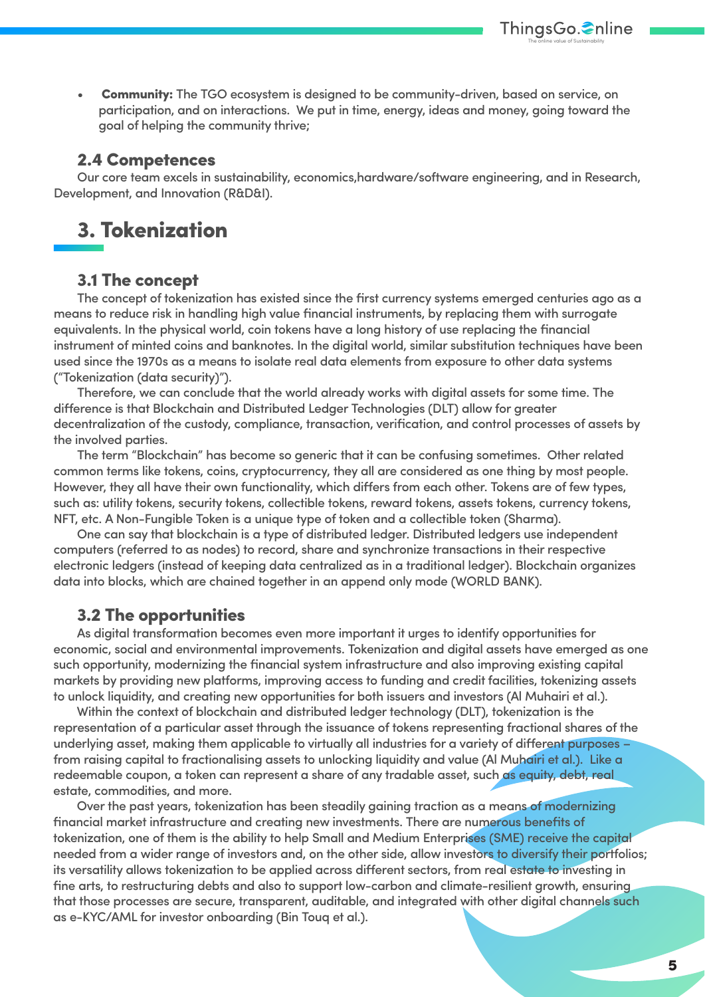**Community:** The TGO ecosystem is designed to be community-driven, based on service, on participation, and on interactions. We put in time, energy, ideas and money, going toward the goal of helping the community thrive;

The online value of Sustainability

ThingsGo.**€**nline

#### 2.4 Competences

Our core team excels in sustainability, economics,hardware/software engineering, and in Research, Development, and Innovation (R&D&I).

# 3. Tokenization

#### 3.1 The concept

The concept of tokenization has existed since the first currency systems emerged centuries ago as a means to reduce risk in handling high value financial instruments, by replacing them with surrogate equivalents. In the physical world, coin tokens have a long history of use replacing the financial instrument of minted coins and banknotes. In the digital world, similar substitution techniques have been used since the 1970s as a means to isolate real data elements from exposure to other data systems ("Tokenization (data security)").

Therefore, we can conclude that the world already works with digital assets for some time. The difference is that Blockchain and Distributed Ledger Technologies (DLT) allow for greater decentralization of the custody, compliance, transaction, verification, and control processes of assets by the involved parties.

The term "Blockchain" has become so generic that it can be confusing sometimes. Other related common terms like tokens, coins, cryptocurrency, they all are considered as one thing by most people. However, they all have their own functionality, which differs from each other. Tokens are of few types, such as: utility tokens, security tokens, collectible tokens, reward tokens, assets tokens, currency tokens, NFT, etc. A Non-Fungible Token is a unique type of token and a collectible token (Sharma).

One can say that blockchain is a type of distributed ledger. Distributed ledgers use independent computers (referred to as nodes) to record, share and synchronize transactions in their respective electronic ledgers (instead of keeping data centralized as in a traditional ledger). Blockchain organizes data into blocks, which are chained together in an append only mode (WORLD BANK).

#### 3.2 The opportunities

As digital transformation becomes even more important it urges to identify opportunities for economic, social and environmental improvements. Tokenization and digital assets have emerged as one such opportunity, modernizing the financial system infrastructure and also improving existing capital markets by providing new platforms, improving access to funding and credit facilities, tokenizing assets to unlock liquidity, and creating new opportunities for both issuers and investors (Al Muhairi et al.).

Within the context of blockchain and distributed ledger technology (DLT), tokenization is the representation of a particular asset through the issuance of tokens representing fractional shares of the underlying asset, making them applicable to virtually all industries for a variety of different purposes – from raising capital to fractionalising assets to unlocking liquidity and value (Al Muhairi et al.). Like a redeemable coupon, a token can represent a share of any tradable asset, such as equity, debt, real estate, commodities, and more.

Over the past years, tokenization has been steadily gaining traction as a means of modernizing financial market infrastructure and creating new investments. There are numerous benefits of tokenization, one of them is the ability to help Small and Medium Enterprises (SME) receive the capital needed from a wider range of investors and, on the other side, allow investors to diversify their portfolios; its versatility allows tokenization to be applied across different sectors, from real estate to investing in fine arts, to restructuring debts and also to support low-carbon and climate-resilient growth, ensuring that those processes are secure, transparent, auditable, and integrated with other digital channels such as e-KYC/AML for investor onboarding (Bin Touq et al.).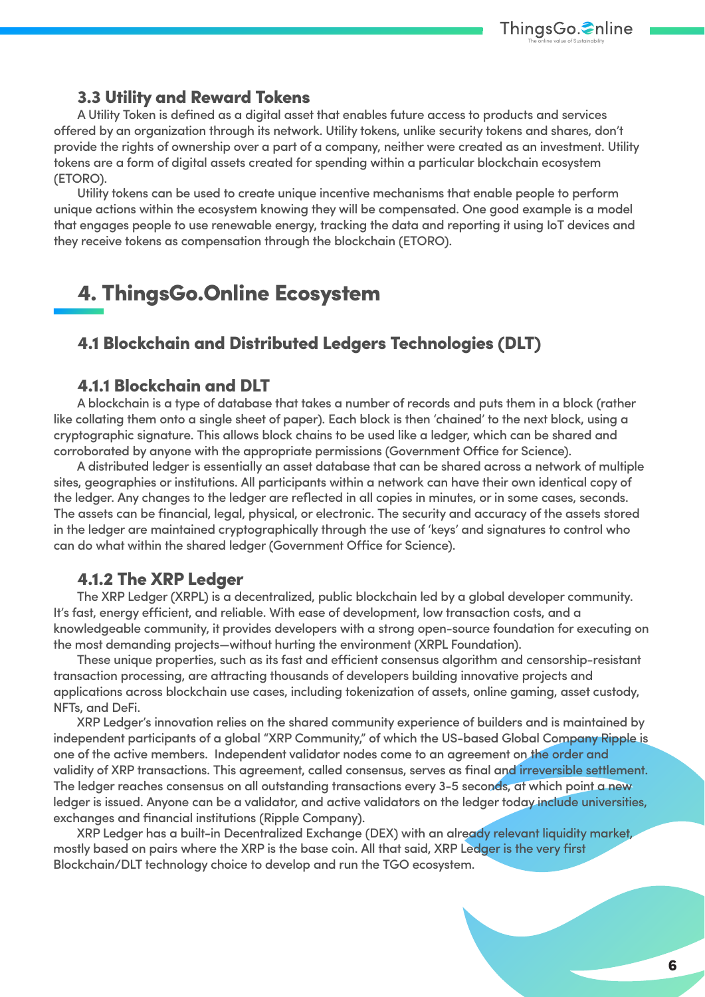

#### 3.3 Utility and Reward Tokens

A Utility Token is defined as a digital asset that enables future access to products and services offered by an organization through its network. Utility tokens, unlike security tokens and shares, don't provide the rights of ownership over a part of a company, neither were created as an investment. Utility tokens are a form of digital assets created for spending within a particular blockchain ecosystem (ETORO).

Utility tokens can be used to create unique incentive mechanisms that enable people to perform unique actions within the ecosystem knowing they will be compensated. One good example is a model that engages people to use renewable energy, tracking the data and reporting it using IoT devices and they receive tokens as compensation through the blockchain (ETORO).

# 4. ThingsGo.Online Ecosystem

#### 4.1 Blockchain and Distributed Ledgers Technologies (DLT)

#### 4.1.1 Blockchain and DLT

A blockchain is a type of database that takes a number of records and puts them in a block (rather like collating them onto a single sheet of paper). Each block is then 'chained' to the next block, using a cryptographic signature. This allows block chains to be used like a ledger, which can be shared and corroborated by anyone with the appropriate permissions (Government Office for Science).

A distributed ledger is essentially an asset database that can be shared across a network of multiple sites, geographies or institutions. All participants within a network can have their own identical copy of the ledger. Any changes to the ledger are reflected in all copies in minutes, or in some cases, seconds. The assets can be financial, legal, physical, or electronic. The security and accuracy of the assets stored in the ledger are maintained cryptographically through the use of 'keys' and signatures to control who can do what within the shared ledger (Government Office for Science).

#### 4.1.2 The XRP Ledger

The XRP Ledger (XRPL) is a decentralized, public blockchain led by a global developer community. It's fast, energy efficient, and reliable. With ease of development, low transaction costs, and a knowledgeable community, it provides developers with a strong open-source foundation for executing on the most demanding projects—without hurting the environment (XRPL Foundation).

These unique properties, such as its fast and efficient consensus algorithm and censorship-resistant transaction processing, are attracting thousands of developers building innovative projects and applications across blockchain use cases, including tokenization of assets, online gaming, asset custody, NFTs, and DeFi.

XRP Ledger's innovation relies on the shared community experience of builders and is maintained by independent participants of a global "XRP Community," of which the US-based Global Company Ripple is one of the active members. Independent validator nodes come to an agreement on the order and validity of XRP transactions. This agreement, called consensus, serves as final and irreversible settlement. The ledger reaches consensus on all outstanding transactions every 3-5 seconds, at which point a new ledger is issued. Anyone can be a validator, and active validators on the ledger today include universities, exchanges and financial institutions (Ripple Company).

XRP Ledger has a built-in Decentralized Exchange (DEX) with an already relevant liquidity market, mostly based on pairs where the XRP is the base coin. All that said, XRP Ledger is the very first Blockchain/DLT technology choice to develop and run the TGO ecosystem.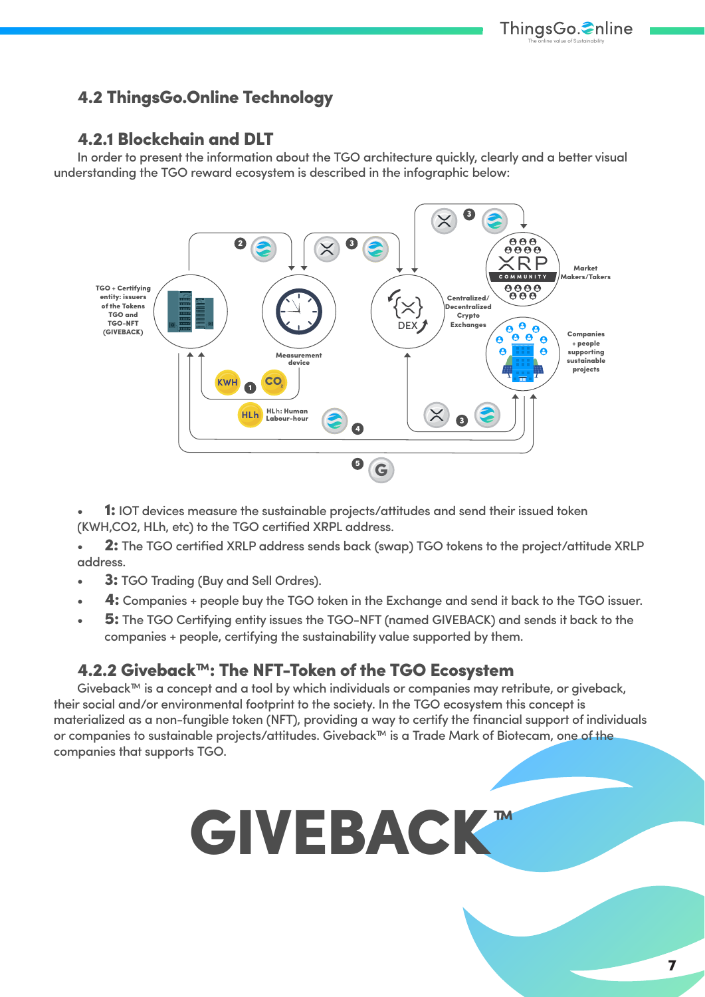#### 4.2 ThingsGo.Online Technology

#### 4.2.1 Blockchain and DLT

In order to present the information about the TGO architecture quickly, clearly and a better visual understanding the TGO reward ecosystem is described in the infographic below:



**1:** IOT devices measure the sustainable projects/attitudes and send their issued token (KWH,CO2, HLh, etc) to the TGO certified XRPL address.

2: The TGO certified XRLP address sends back (swap) TGO tokens to the project/attitude XRLP address.

- 3: TGO Tradina (Buy and Sell Ordres).
- 4: Companies + people buy the TGO token in the Exchange and send it back to the TGO issuer.
- 5: The TGO Certifying entity issues the TGO-NFT (named GIVEBACK) and sends it back to the companies + people, certifying the sustainability value supported by them.

#### 4.2.2 Giveback™: The NFT-Token of the TGO Ecosystem

Giveback™ is a concept and a tool by which individuals or companies may retribute, or giveback, their social and/or environmental footprint to the society. In the TGO ecosystem this concept is materialized as a non-fungible token (NFT), providing a way to certify the financial support of individuals or companies to sustainable projects/attitudes. Giveback™ is a Trade Mark of Biotecam, one of the companies that supports TGO.

# GIVEBACK ™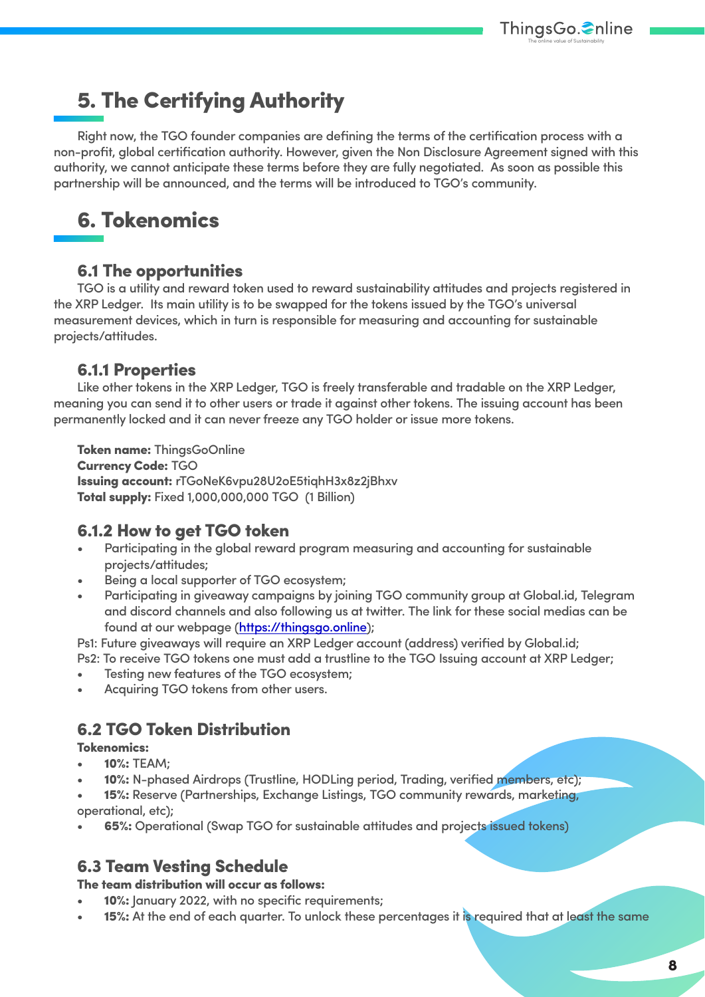# 5. The Certifying Authority

Right now, the TGO founder companies are defining the terms of the certification process with a non-profit, global certification authority. However, given the Non Disclosure Agreement signed with this authority, we cannot anticipate these terms before they are fully negotiated. As soon as possible this partnership will be announced, and the terms will be introduced to TGO's community.

# 6. Tokenomics

#### 6.1 The opportunities

TGO is a utility and reward token used to reward sustainability attitudes and projects registered in the XRP Ledger. Its main utility is to be swapped for the tokens issued by the TGO's universal measurement devices, which in turn is responsible for measuring and accounting for sustainable projects/attitudes.

#### 6.1.1 Properties

Like other tokens in the XRP Ledger, TGO is freely transferable and tradable on the XRP Ledger, meaning you can send it to other users or trade it against other tokens. The issuing account has been permanently locked and it can neverfreeze any TGO holder or issue more tokens.

Token name: ThingsGoOnline Currency Code: TGO Issuing account: rTGoNeK6vpu28U2oE5tiqhH3x8z2jBhxv Total supply: Fixed 1,000,000,000 TGO (1 Billion)

#### 6.1.2 How to get TGO token

- Participating in the global reward program measuring and accounting for sustainable projects/attitudes;
- Being a local supporter of TGO ecosystem;
- Participating in giveaway campaigns by joining TGO community group at Global.id, Telegram and discord channels and also following us at twitter. The link for these social medias can be found at our webpage [\(https://thingsgo.online\)](#page-0-0);

Ps1: Future giveaways will require an XRP Ledger account (address) verified by Global.id;

Ps2: To receive TGO tokens one must add a trustline to the TGO Issuing account at XRP Ledger;

- Testing new features of the TGO ecosystem;
- Acquiring TGO tokens from other users.

#### 6.2 TGO Token Distribution

Tokenomics:

- 10%: TEAM;
- 10%: N-phased Airdrops (Trustline, HODLing period, Trading, verified members, etc);

15%: Reserve (Partnerships, Exchange Listings, TGO community rewards, marketing, operational, etc);

• 65%: Operational (Swap TGO for sustainable attitudes and projects issued tokens)

#### 6.3 Team Vesting Schedule

The team distribution will occur as follows:

- 10%: January 2022, with no specific requirements;
- 15%: At the end of each quarter. To unlock these percentages it is required that at least the same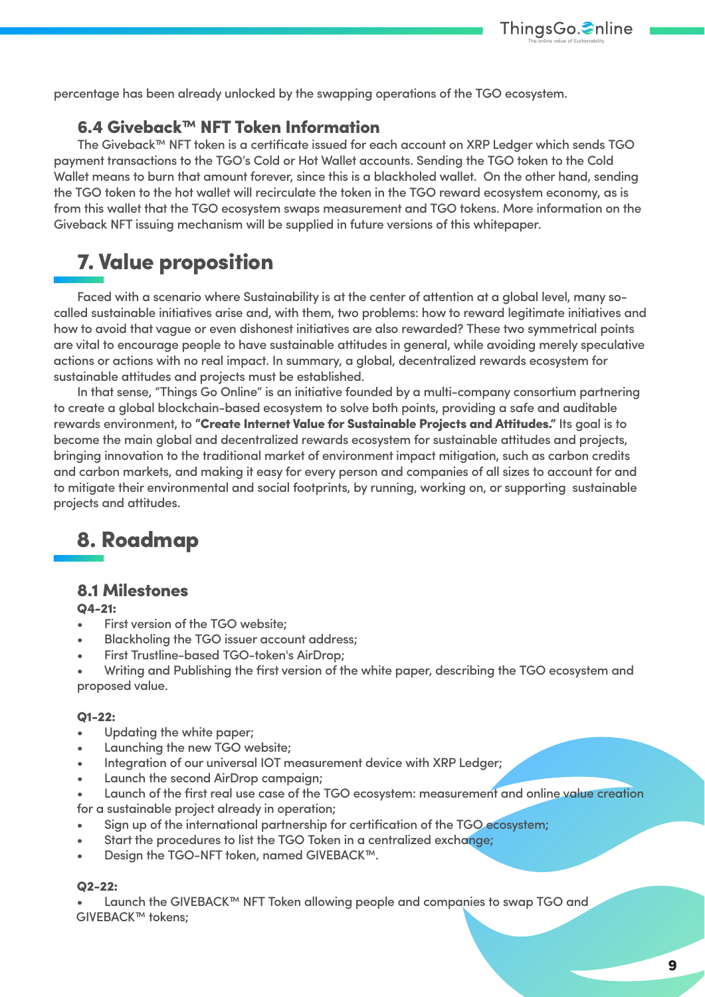percentage has been already unlocked by the swapping operations of the TGO ecosystem.

#### 6.4 Giveback™ NFT Token Information

The Giveback™ NFT token is a certificate issued for each account on XRP Ledger which sends TGO payment transactions to the TGO's Cold or Hot Wallet accounts. Sending the TGO token to the Cold Wallet means to burn that amount forever, since this is a blackholed wallet. On the other hand, sending the TGO token to the hot wallet will recirculate the token in the TGO reward ecosystem economy, as is from this wallet that the TGO ecosystem swaps measurement and TGO tokens. More information on the Giveback NFT issuing mechanism will be supplied in future versions of this whitepaper.

# 7. Value proposition

Faced with a scenario where Sustainability is at the center of attention at a global level, many socalled sustainable initiatives arise and, with them, two problems: how to reward legitimate initiatives and how to avoid that vague or even dishonest initiatives are also rewarded? These two symmetrical points are vital to encourage people to have sustainable attitudes in general, while avoiding merely speculative actions or actions with no real impact. In summary, a global, decentralized rewards ecosystem for sustainable attitudes and projects must be established.

In that sense, "Things Go Online" is an initiative founded by a multi-company consortium partnering to create a global blockchain-based ecosystem to solve both points, providing a safe and auditable rewards environment, to "Create Internet Value for Sustainable Projects and Attitudes." Its goal is to become the main global and decentralized rewards ecosystem for sustainable attitudes and projects, bringing innovation to the traditional market of environment impact mitigation, such as carbon credits and carbon markets, and making it easy for every person and companies of all sizes to account for and to mitigate their environmental and social footprints, by running, working on, or supporting sustainable projects and attitudes.

# 8. Roadmap

#### 8.1 Milestones

#### Q4-21:

- First version of the TGO website:
- Blackholing the TGO issuer account address;
- First Trustline-based TGO-token's AirDrop;
- Writing and Publishing the first version of the white paper, describing the TGO ecosystem and proposed value.

#### Q1-22:

- Updating the white paper;
- Launching the new TGO website;
- Integration of our universal IOT measurement device with XRP Ledger;
- Launch the second AirDrop campaign;
- Launch of the first real use case of the TGO ecosystem: measurement and online value creation for a sustainable project already in operation;
- Sign up of the international partnership for certification of the TGO ecosystem;
- Start the procedures to list the TGO Token in a centralized exchange;
- Design the TGO-NFT token, named GIVEBACK™.

#### Q2-22:

• Launch the GIVEBACK™ NFT Token allowing people and companies to swap TGO and GIVEBACK™ tokens;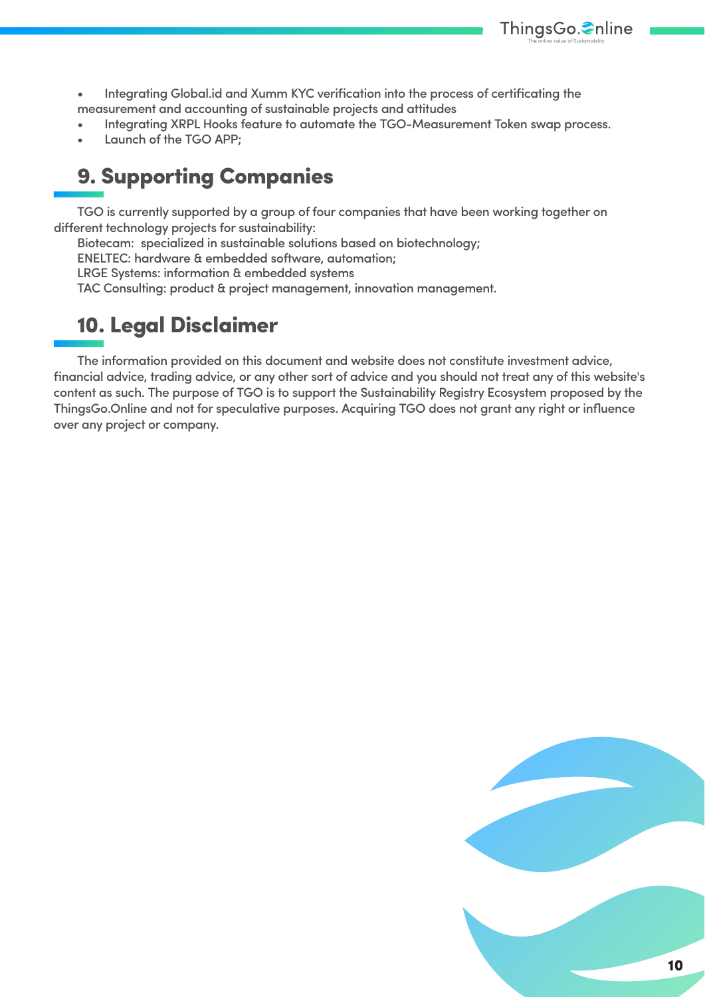

• Integrating Global.id and Xumm KYC verification into the process of certificating the measurement and accounting of sustainable projects and attitudes

- Integrating XRPL Hooks feature to automate the TGO-Measurement Token swap process.
- Launch of the TGO APP:

# 9. Supporting Companies

TGO is currently supported by a group of four companies that have been working together on different technology projects for sustainability:

Biotecam: specialized in sustainable solutions based on biotechnology;

ENELTEC: hardware & embedded software, automation;

LRGE Systems: information & embedded systems

TAC Consulting: product & project management, innovation management.

# 10. Legal Disclaimer

The information provided on this document and website does not constitute investment advice, financial advice, trading advice, or any other sort of advice and you should not treat any of this website's content as such. The purpose of TGO is to support the Sustainability Registry Ecosystem proposed by the ThingsGo.Online and not for speculative purposes. Acquiring TGO does not grant any right or influence over any project or company.

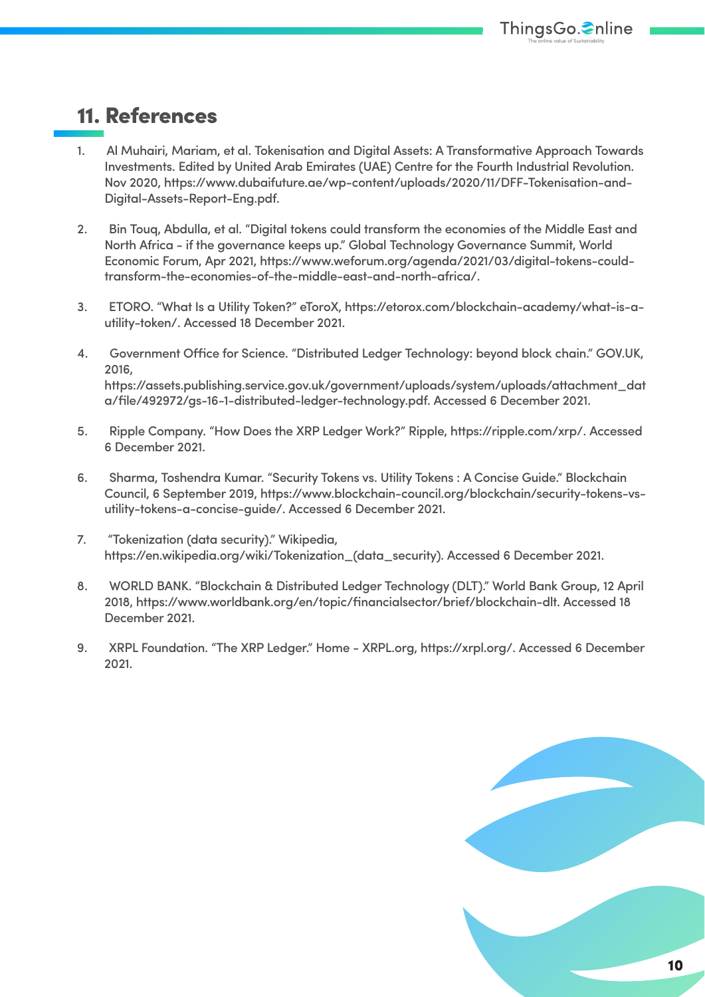## 11. References

- 1. Al Muhairi, Mariam, et al. Tokenisation and Digital Assets: A Transformative Approach Towards Investments. Edited by United Arab Emirates (UAE) Centre for the Fourth Industrial Revolution. Nov 2020, https://www.dubaifuture.ae/wp-content/uploads/2020/11/DFF-Tokenisation-and-Digital-Assets-Report-Eng.pdf.
- 2. Bin Touq, Abdulla, et al. "Digital tokens could transform the economies of the Middle East and North Africa - if the governance keeps up." Global Technology Governance Summit, World Economic Forum, Apr 2021, https://www.weforum.org/agenda/2021/03/digital-tokens-couldtransform-the-economies-of-the-middle-east-and-north-africa/.
- 3. ETORO. "What Is a Utility Token?" eToroX, https://etorox.com/blockchain-academy/what-is-autility-token/. Accessed 18 December 2021.
- 4. Government Office for Science. "Distributed Ledger Technology: beyond block chain." GOV.UK, 2016, https://assets.publishing.service.gov.uk/government/uploads/system/uploads/attachment\_dat a/file/492972/gs-16-1-distributed-ledger-technology.pdf. Accessed 6 December 2021.
- 5. Ripple Company. "How Does the XRP Ledger Work?" Ripple, https://ripple.com/xrp/. Accessed 6 December 2021.
- 6. Sharma, Toshendra Kumar. "Security Tokens vs. Utility Tokens : A Concise Guide." Blockchain Council, 6 September 2019, https://www.blockchain-council.org/blockchain/security-tokens-vsutility-tokens-a-concise-guide/. Accessed 6 December 2021.
- 7. "Tokenization (data security)." Wikipedia, https://en.wikipedia.org/wiki/Tokenization\_(data\_security). Accessed 6 December 2021.
- 8. WORLD BANK. "Blockchain & Distributed Ledger Technology (DLT)." World Bank Group, 12 April 2018, https://www.worldbank.org/en/topic/financialsector/brief/blockchain-dlt. Accessed 18 December 2021.
- 9. XRPL Foundation. "The XRP Ledger." Home XRPL.org, https://xrpl.org/. Accessed 6 December 2021.